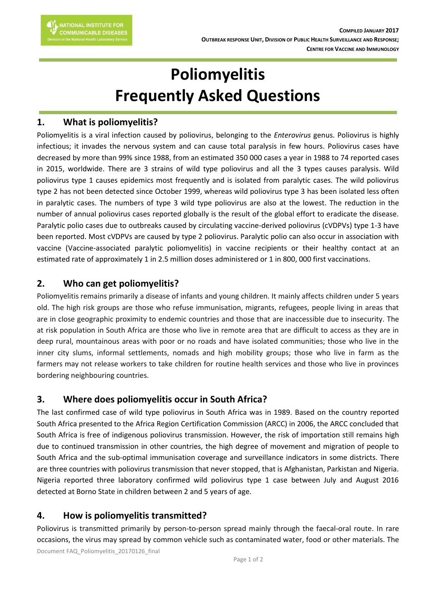# **Poliomyelitis Frequently Asked Questions**

#### **1. What is poliomyelitis?**

Poliomyelitis is a viral infection caused by poliovirus, belonging to the *Enterovirus* genus. Poliovirus is highly infectious; it invades the nervous system and can cause total paralysis in few hours. Poliovirus cases have decreased by more than 99% since 1988, from an estimated 350 000 cases a year in 1988 to 74 reported cases in 2015, worldwide. There are 3 strains of wild type poliovirus and all the 3 types causes paralysis. Wild poliovirus type 1 causes epidemics most frequently and is isolated from paralytic cases. The wild poliovirus type 2 has not been detected since October 1999, whereas wild poliovirus type 3 has been isolated less often in paralytic cases. The numbers of type 3 wild type poliovirus are also at the lowest. The reduction in the number of annual poliovirus cases reported globally is the result of the global effort to eradicate the disease. Paralytic polio cases due to outbreaks caused by circulating vaccine-derived poliovirus (cVDPVs) type 1-3 have been reported. Most cVDPVs are caused by type 2 poliovirus. Paralytic polio can also occur in association with vaccine (Vaccine-associated paralytic poliomyelitis) in vaccine recipients or their healthy contact at an estimated rate of approximately 1 in 2.5 million doses administered or 1 in 800, 000 first vaccinations.

#### **2. Who can get poliomyelitis?**

Poliomyelitis remains primarily a disease of infants and young children. It mainly affects children under 5 years old. The high risk groups are those who refuse immunisation, migrants, refugees, people living in areas that are in close geographic proximity to endemic countries and those that are inaccessible due to insecurity. The at risk population in South Africa are those who live in remote area that are difficult to access as they are in deep rural, mountainous areas with poor or no roads and have isolated communities; those who live in the inner city slums, informal settlements, nomads and high mobility groups; those who live in farm as the farmers may not release workers to take children for routine health services and those who live in provinces bordering neighbouring countries.

#### **3. Where does poliomyelitis occur in South Africa?**

The last confirmed case of wild type poliovirus in South Africa was in 1989. Based on the country reported South Africa presented to the Africa Region Certification Commission (ARCC) in 2006, the ARCC concluded that South Africa is free of indigenous poliovirus transmission. However, the risk of importation still remains high due to continued transmission in other countries, the high degree of movement and migration of people to South Africa and the sub-optimal immunisation coverage and surveillance indicators in some districts. There are three countries with poliovirus transmission that never stopped, that is Afghanistan, Parkistan and Nigeria. Nigeria reported three laboratory confirmed wild poliovirus type 1 case between July and August 2016 detected at Borno State in children between 2 and 5 years of age.

#### **4. How is poliomyelitis transmitted?**

Document FAQ\_Poliomyelitis\_20170126\_final Poliovirus is transmitted primarily by person-to-person spread mainly through the faecal-oral route. In rare occasions, the virus may spread by common vehicle such as contaminated water, food or other materials. The